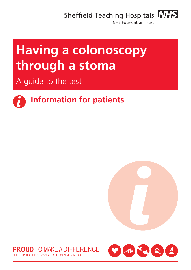Sheffield Teaching Hospitals **NHS** 



**NHS Foundation Trust** 

# **Having a colonoscopy through a stoma**

A guide to the test



**Information for patients**





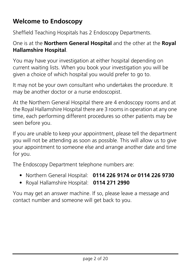## **Welcome to Endoscopy**

Sheffield Teaching Hospitals has 2 Endoscopy Departments.

One is at the **Northern General Hospital** and the other at the **Royal Hallamshire Hospital**.

You may have your investigation at either hospital depending on current waiting lists. When you book your investigation you will be given a choice of which hospital you would prefer to go to.

It may not be your own consultant who undertakes the procedure. It may be another doctor or a nurse endoscopist.

At the Northern General Hospital there are 4 endoscopy rooms and at the Royal Hallamshire Hospital there are 3 rooms in operation at any one time, each performing different procedures so other patients may be seen before you.

If you are unable to keep your appointment, please tell the department you will not be attending as soon as possible. This will allow us to give your appointment to someone else and arrange another date and time for you.

The Endoscopy Department telephone numbers are:

- Northern General Hospital: **0114 226 9174 or 0114 226 9730**
- Royal Hallamshire Hospital: **0114 271 2990**

You may get an answer machine. If so, please leave a message and contact number and someone will get back to you.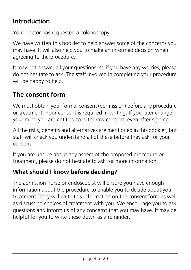### **Introduction**

Your doctor has requested a colonoscopy.

We have written this booklet to help answer some of the concerns you may have. It will also help you to make an informed decision when agreeing to the procedure.

It may not answer all your questions, so if you have any worries, please do not hesitate to ask. The staff involved in completing your procedure will be happy to help.

### **The consent form**

We must obtain your formal consent (permission) before any procedure or treatment. Your consent is required in writing. If you later change your mind you are entitled to withdraw consent, even after signing.

All the risks, benefits and alternatives are mentioned in this booklet, but staff will check you understand all of these before they ask for your consent.

If you are unsure about any aspect of the proposed procedure or treatment, please do not hesitate to ask for more information.

#### **What should I know before deciding?**

The admission nurse or endoscopist will ensure you have enough information about the procedure to enable you to decide about your treatment. They will write this information on the consent form as well as discussing choices of treatment with you. We encourage you to ask questions and inform us of any concerns that you may have. It may be helpful for you to write these down as a reminder.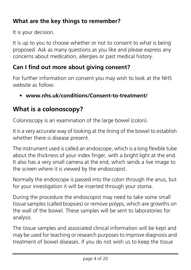#### **What are the key things to remember?**

It is your decision.

It is up to you to choose whether or not to consent to what is being proposed. Ask as many questions as you like and please express any concerns about medication, allergies or past medical history.

#### **Can I find out more about giving consent?**

For further information on consent you may wish to look at the NHS website as follow:

• **[www.nhs.uk/conditions/Consent-to-treatment/](http://www.nhs.uk/conditions/Consent-to-treatment/)**

## **What is a colonoscopy?**

Colonoscopy is an examination of the large bowel (colon).

It is a very accurate way of looking at the lining of the bowel to establish whether there is disease present.

The instrument used is called an endoscope, which is a long flexible tube about the thickness of your index finger, with a bright light at the end. It also has a very small camera at the end, which sends a live image to the screen where it is viewed by the endoscopist.

Normally the endoscope is passed into the colon through the anus, but for your investigation it will be inserted through your stoma.

During the procedure the endoscopist may need to take some small tissue samples (called biopsies) or remove polyps, which are growths on the wall of the bowel. These samples will be sent to laboratories for analysis.

The tissue samples and associated clinical information will be kept and may be used for teaching or research purposes to improve diagnosis and treatment of bowel diseases. If you do not wish us to keep the tissue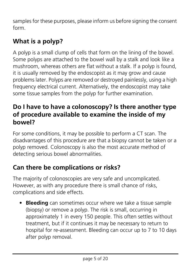samples for these purposes, please inform us before signing the consent form.

## **What is a polyp?**

A polyp is a small clump of cells that form on the lining of the bowel. Some polyps are attached to the bowel wall by a stalk and look like a mushroom, whereas others are flat without a stalk. If a polyp is found, it is usually removed by the endoscopist as it may grow and cause problems later. Polyps are removed or destroyed painlessly, using a high frequency electrical current. Alternatively, the endoscopist may take some tissue samples from the polyp for further examination.

#### **Do I have to have a colonoscopy? Is there another type of procedure available to examine the inside of my bowel?**

For some conditions, it may be possible to perform a CT scan. The disadvantages of this procedure are that a biopsy cannot be taken or a polyp removed. Colonoscopy is also the most accurate method of detecting serious bowel abnormalities.

## **Can there be complications or risks?**

The majority of colonoscopies are very safe and uncomplicated. However, as with any procedure there is small chance of risks, complications and side effects.

• **Bleeding** can sometimes occur where we take a tissue sample (biopsy) or remove a polyp. The risk is small, occurring in approximately 1 in every 150 people. This often settles without treatment, but if it continues it may be necessary to return to hospital for re-assessment. Bleeding can occur up to 7 to 10 days after polyp removal.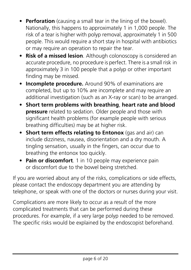- **Perforation** (causing a small tear in the lining of the bowel). Nationally, this happens to approximately 1 in 1,000 people. The risk of a tear is higher with polyp removal, approximately 1 in 500 people. This would require a short stay in hospital with antibiotics or may require an operation to repair the tear.
- **Risk of a missed lesion**. Although colonoscopy is considered an accurate procedure, no procedure is perfect. There is a small risk in approximately 3 in 100 people that a polyp or other important finding may be missed.
- **Incomplete procedure.** Around 90% of examinations are completed, but up to 10% are incomplete and may require an additional investigation (such as an X-ray or scan) to be arranged.
- **Short term problems with breathing**, **heart rate and blood pressure** related to sedation. Older people and those with significant health problems (for example people with serious breathing difficulties) may be at higher risk.
- **Short term effects relating to Entonox** (gas and air) can include dizziness, nausea, disorientation and a dry mouth. A tingling sensation, usually in the fingers, can occur due to breathing the entonox too quickly.
- **Pain or discomfort**. 1 in 10 people may experience pain or discomfort due to the bowel being stretched.

If you are worried about any of the risks, complications or side effects, please contact the endoscopy department you are attending by telephone, or speak with one of the doctors or nurses during your visit.

Complications are more likely to occur as a result of the more complicated treatments that can be performed during these procedures. For example, if a very large polyp needed to be removed. The specific risks would be explained by the endoscopist beforehand.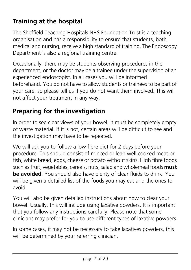## **Training at the hospital**

The Sheffield Teaching Hospitals NHS Foundation Trust is a teaching organisation and has a responsibility to ensure that students, both medical and nursing, receive a high standard of training. The Endoscopy Department is also a regional training centre.

Occasionally, there may be students observing procedures in the department, or the doctor may be a trainee under the supervision of an experienced endoscopist. In all cases you will be informed beforehand. You do not have to allow students or trainees to be part of your care, so please tell us if you do not want them involved. This will not affect your treatment in any way.

## **Preparing for the investigation**

In order to see clear views of your bowel, it must be completely empty of waste material. If it is not, certain areas will be difficult to see and the investigation may have to be repeated.

We will ask you to follow a low fibre diet for 2 days before your procedure. This should consist of minced or lean well cooked meat or fish, white bread, eggs, cheese or potato without skins. High fibre foods such as fruit, vegetables, cereals, nuts, salad and wholemeal foods **must be avoided**. You should also have plenty of clear fluids to drink. You will be given a detailed list of the foods you may eat and the ones to avoid.

You will also be given detailed instructions about how to clear your bowel. Usually, this will include using laxative powders. It is important that you follow any instructions carefully. Please note that some clinicians may prefer for you to use different types of laxative powders.

In some cases, it may not be necessary to take laxatives powders, this will be determined by your referring clinician.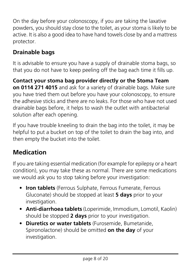On the day before your colonoscopy, if you are taking the laxative powders, you should stay close to the toilet, as your stoma is likely to be active. It is also a good idea to have hand towels close by and a mattress protector.

#### **Drainable bags**

It is advisable to ensure you have a supply of drainable stoma bags, so that you do not have to keep peeling off the bag each time it fills up.

**Contact your stoma bag provider directly or the Stoma Team on 0114 271 4015** and ask for a variety of drainable bags. Make sure you have tried them out before you have your colonoscopy, to ensure the adhesive sticks and there are no leaks. For those who have not used drainable bags before, it helps to wash the outlet with antibacterial solution after each opening.

If you have trouble kneeling to drain the bag into the toilet, it may be helpful to put a bucket on top of the toilet to drain the bag into, and then empty the bucket into the toilet.

### **Medication**

If you are taking essential medication (for example for epilepsy or a heart condition), you may take these as normal. There are some medications we would ask you to stop taking before your investigation:

- **Iron tablets** (Ferrous Sulphate, Ferrous Fumerate, Ferrous Gluconate) should be stopped at least **5 days** prior to your investigation.
- **Anti-diarrhoea tablets** (Loperimide, Immodium, Lomotil, Kaolin) should be stopped **2 days** prior to your investigation.
- **Diuretics or water tablets** (Furosemide, Bumetanide, Spironolactone) should be omitted **on the day** of your investigation.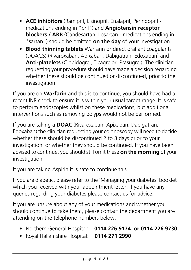- **ACE inhibitors** (Ramipril, Lisinopril, Enalapril, Perindopril medications ending in "pril") and **Angiotensin receptor blockers / ARB** (Candesartan, Losartan - medications ending in "sartan") should be omitted **on the day** of your investigation.
- **Blood thinning tablets** Warfarin or direct oral anticoagulants (DOACS) (Rivaroxaban, Apixaban, Dabigatran, Edoxaban) and **Anti-platelets** (Clopidogrel, Ticagrelor, Prasugrel). The clinician requesting your procedure should have made a decision regarding whether these should be continued or discontinued, prior to the investigation.

If you are on **Warfarin** and this is to continue, you should have had a recent INR check to ensure it is within your usual target range. It is safe to perform endoscopies whilst on these medications, but additional interventions such as removing polyps would not be performed.

If you are taking a **DOAC** (Rivaroxaban, Apixaban, Dabigatran, Edoxaban) the clinician requesting your colonoscopy will need to decide whether these should be discontinued 2 to 3 days prior to your investigation, or whether they should be continued. If you have been advised to continue, you should still omit these **on the morning** of your investigation.

If you are taking Aspirin it is safe to continue this.

If you are diabetic, please refer to the 'Managing your diabetes' booklet which you received with your appointment letter. If you have any queries regarding your diabetes please contact us for advice.

If you are unsure about any of your medications and whether you should continue to take them, please contact the department you are attending on the telephone numbers below:

- Northern General Hospital: **0114 226 9174 or 0114 226 9730**
- Royal Hallamshire Hospital: **0114 271 2990**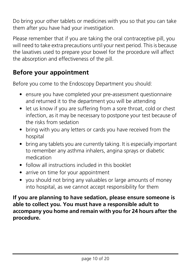Do bring your other tablets or medicines with you so that you can take them after you have had your investigation.

Please remember that if you are taking the oral contraceptive pill, you will need to take extra precautions until your next period. This is because the laxatives used to prepare your bowel for the procedure will affect the absorption and effectiveness of the pill.

#### **Before your appointment**

Before you come to the Endoscopy Department you should:

- ensure you have completed your pre-assessment questionnaire and returned it to the department you will be attending
- let us know if you are suffering from a sore throat, cold or chest infection, as it may be necessary to postpone your test because of the risks from sedation
- bring with you any letters or cards you have received from the hospital
- bring any tablets you are currently taking. It is especially important to remember any asthma inhalers, angina sprays or diabetic medication
- follow all instructions included in this booklet
- arrive on time for your appointment
- you should not bring any valuables or large amounts of money into hospital, as we cannot accept responsibility for them

**If you are planning to have sedation, please ensure someone is able to collect you. You must have a responsible adult to accompany you home and remain with you for 24 hours after the procedure.**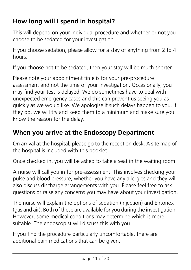## **How long will I spend in hospital?**

This will depend on your individual procedure and whether or not you choose to be sedated for your investigation.

If you choose sedation, please allow for a stay of anything from 2 to 4 hours.

If you choose not to be sedated, then your stay will be much shorter.

Please note your appointment time is for your pre-procedure assessment and not the time of your investigation. Occasionally, you may find your test is delayed. We do sometimes have to deal with unexpected emergency cases and this can prevent us seeing you as quickly as we would like. We apologise if such delays happen to you. If they do, we will try and keep them to a minimum and make sure you know the reason for the delay.

#### **When you arrive at the Endoscopy Department**

On arrival at the hospital, please go to the reception desk. A site map of the hospital is included with this booklet.

Once checked in, you will be asked to take a seat in the waiting room.

A nurse will call you in for pre-assessment. This involves checking your pulse and blood pressure, whether you have any allergies and they will also discuss discharge arrangements with you. Please feel free to ask questions or raise any concerns you may have about your investigation.

The nurse will explain the options of sedation (injection) and Entonox (gas and air). Both of these are available for you during the investigation. However, some medical conditions may determine which is more suitable. The endoscopist will discuss this with you.

If you find the procedure particularly uncomfortable, there are additional pain medications that can be given.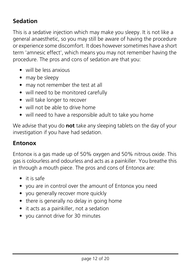#### **Sedation**

This is a sedative injection which may make you sleepy. It is not like a general anaesthetic, so you may still be aware of having the procedure or experience some discomfort. It does however sometimes have a short term 'amnesic effect', which means you may not remember having the procedure. The pros and cons of sedation are that you:

- will be less anxious
- may be sleepy
- may not remember the test at all
- will need to be monitored carefully
- will take longer to recover
- will not be able to drive home
- will need to have a responsible adult to take you home

We advise that you do **not** take any sleeping tablets on the day of your investigation if you have had sedation.

#### **Entonox**

Entonox is a gas made up of 50% oxygen and 50% nitrous oxide. This gas is colourless and odourless and acts as a painkiller. You breathe this in through a mouth piece. The pros and cons of Entonox are:

- it is safe
- you are in control over the amount of Entonox you need
- you generally recover more quickly
- there is generally no delay in going home
- it acts as a painkiller, not a sedation
- you cannot drive for 30 minutes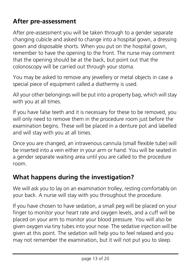### **After pre-assessment**

After pre-assessment you will be taken through to a gender separate changing cubicle and asked to change into a hospital gown, a dressing gown and disposable shorts. When you put on the hospital gown, remember to have the opening to the front. The nurse may comment that the opening should be at the back, but point out that the colonoscopy will be carried out through your stoma.

You may be asked to remove any jewellery or metal objects in case a special piece of equipment called a diathermy is used.

All your other belongings will be put into a property bag, which will stay with you at all times.

If you have false teeth and it is necessary for these to be removed, you will only need to remove them in the procedure room just before the examination begins. These will be placed in a denture pot and labelled and will stay with you at all times.

Once you are changed, an intravenous cannula (small flexible tube) will be inserted into a vein either in your arm or hand. You will be seated in a gender separate waiting area until you are called to the procedure room.

#### **What happens during the investigation?**

We will ask you to lay on an examination trolley, resting comfortably on your back. A nurse will stay with you throughout the procedure.

If you have chosen to have sedation, a small peg will be placed on your finger to monitor your heart rate and oxygen levels, and a cuff will be placed on your arm to monitor your blood pressure. You will also be given oxygen via tiny tubes into your nose. The sedative injection will be given at this point. The sedation will help you to feel relaxed and you may not remember the examination, but it will not put you to sleep.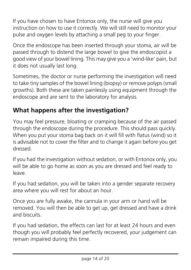If you have chosen to have Entonox only, the nurse will give you instruction on how to use it correctly. We will still need to monitor your pulse and oxygen levels by attaching a small peg to your finger.

Once the endoscope has been inserted through your stoma, air will be passed through to distend the large bowel to give the endoscopist a good view of your bowel lining. This may give you a 'wind-like' pain, but it does not usually last long.

Sometimes, the doctor or nurse performing the investigation will need to take tiny samples of the bowel lining (biopsy) or remove polyps (small growths). Both these are taken painlessly using equipment through the endoscope and are sent to the laboratory for analysis.

### **What happens after the investigation?**

You may feel pressure, bloating or cramping because of the air passed through the endoscope during the procedure. This should pass quickly. When you put your stoma bag back on it will fill with flatus (wind) so it is advisable not to cover the filter and to change it again before you get dressed.

If you had the investigation without sedation, or with Entonox only, you will be able to go home as soon as you are dressed and feel ready to leave.

If you had sedation, you will be taken into a gender separate recovery area where you will rest for about an hour.

Once you are fully awake, the cannula in your arm or hand will be removed. You will then be able to get up, get dressed and have a drink and biscuits.

If you had sedation, the effects can last for at least 24 hours and even though you will probably feel perfectly recovered, your judgement can remain impaired during this time.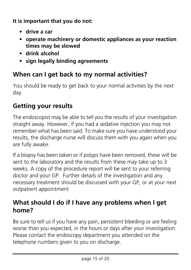**It is important that you do not:**

- **drive a car**
- **operate machinery or domestic appliances as your reaction times may be slowed**
- **drink alcohol**
- **sign legally binding agreements**

#### **When can I get back to my normal activities?**

You should be ready to get back to your normal activities by the next day.

#### **Getting your results**

The endoscopist may be able to tell you the results of your investigation straight away. However, if you had a sedative injection you may not remember what has been said. To make sure you have understood your results, the discharge nurse will discuss them with you again when you are fully awake.

If a biopsy has been taken or if polyps have been removed, these will be sent to the laboratory and the results from these may take up to 3 weeks. A copy of the procedure report will be sent to your referring doctor and your GP. Further details of the investigation and any necessary treatment should be discussed with your GP, or at your next outpatient appointment

#### **What should I do if I have any problems when I get home?**

Be sure to tell us if you have any pain, persistent bleeding or are feeling worse than you expected, in the hours or days after your investigation. Please contact the endoscopy department you attended on the telephone numbers given to you on discharge.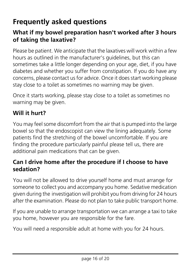## **Frequently asked questions**

#### **What if my bowel preparation hasn't worked after 3 hours of taking the laxative?**

Please be patient. We anticipate that the laxatives will work within a few hours as outlined in the manufacturer's guidelines, but this can sometimes take a little longer depending on your age, diet, if you have diabetes and whether you suffer from constipation. If you do have any concerns, please contact us for advice. Once it does start working please stay close to a toilet as sometimes no warning may be given.

Once it starts working, please stay close to a toilet as sometimes no warning may be given.

#### **Will it hurt?**

You may feel some discomfort from the air that is pumped into the large bowel so that the endoscopist can view the lining adequately. Some patients find the stretching of the bowel uncomfortable. If you are finding the procedure particularly painful please tell us, there are additional pain medications that can be given.

#### **Can I drive home after the procedure if I choose to have sedation?**

You will not be allowed to drive yourself home and must arrange for someone to collect you and accompany you home. Sedative medication given during the investigation will prohibit you from driving for 24 hours after the examination. Please do not plan to take public transport home.

If you are unable to arrange transportation we can arrange a taxi to take you home, however you are responsible for the fare.

You will need a responsible adult at home with you for 24 hours.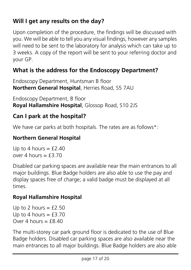#### **Will I get any results on the day?**

Upon completion of the procedure, the findings will be discussed with you. We will be able to tell you any visual findings, however any samples will need to be sent to the laboratory for analysis which can take up to 3 weeks. A copy of the report will be sent to your referring doctor and your GP.

#### **What is the address for the Endoscopy Department?**

Endoscopy Department, Huntsman B floor **Northern General Hospital**, Herries Road, S5 7AU

Endoscopy Department, B floor **Royal Hallamshire Hospital**, Glossop Road, S10 2JS

#### **Can I park at the hospital?**

We have car parks at both hospitals. The rates are as follows\*:

#### **Northern General Hospital**

Up to 4 hours  $=$  £2.40 over 4 hours =  $f3.70$ 

Disabled car parking spaces are available near the main entrances to all major buildings. Blue Badge holders are also able to use the pay and display spaces free of charge; a valid badge must be displayed at all times.

#### **Royal Hallamshire Hospital**

Up to 2 hours  $=$  £2.50 Up to 4 hours  $=$  £3.70 Over 4 hours  $=$   $f8.40$ 

The multi-storey car park ground floor is dedicated to the use of Blue Badge holders. Disabled car parking spaces are also available near the main entrances to all major buildings. Blue Badge holders are also able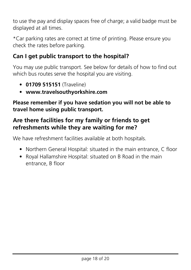to use the pay and display spaces free of charge; a valid badge must be displayed at all times.

\*Car parking rates are correct at time of printing. Please ensure you check the rates before parking.

#### **Can I get public transport to the hospital?**

You may use public transport. See below for details of how to find out which bus routes serve the hospital you are visiting.

- **01709 515151** (Traveline)
- **www.travelsouthyorkshire.com**

**Please remember if you have sedation you will not be able to travel home using public transport.**

#### **Are there facilities for my family or friends to get refreshments while they are waiting for me?**

We have refreshment facilities available at both hospitals.

- Northern General Hospital: situated in the main entrance, C floor
- Royal Hallamshire Hospital: situated on B Road in the main entrance, B floor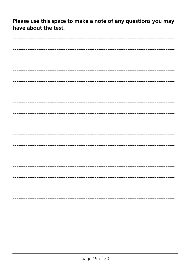Please use this space to make a note of any questions you may have about the test.